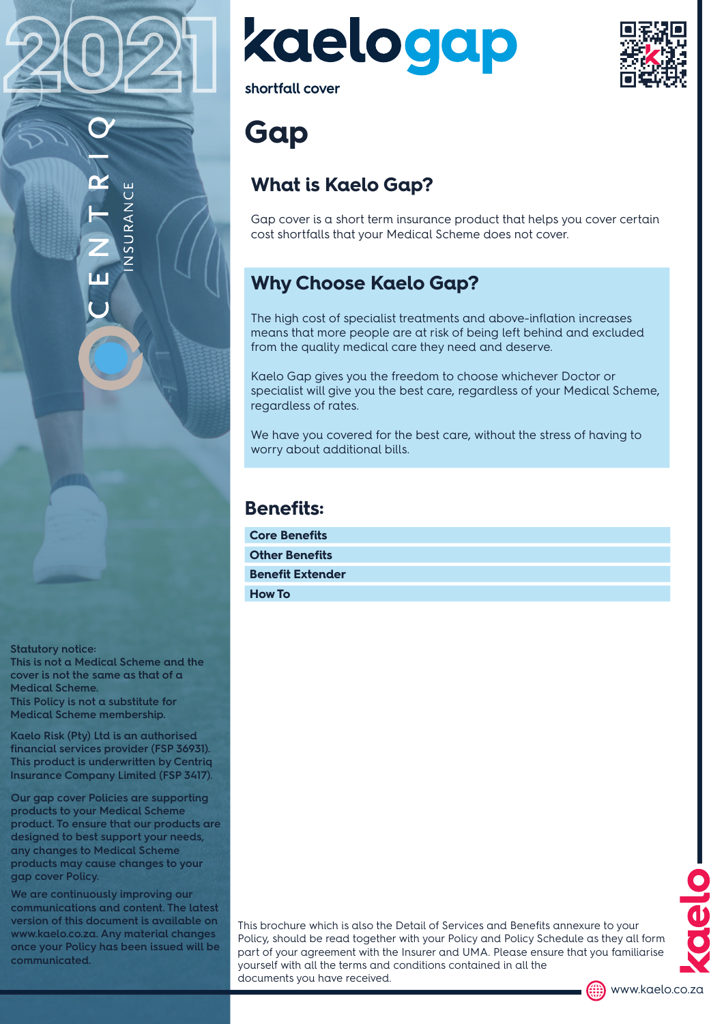2021

**Statutory notice: This is not a Medical Scheme and the** 

**cover is not the same as that of a Medical Scheme. This Policy is not a substitute for Medical Scheme membership.**

**Kaelo Risk (Pty) Ltd is an authorised financial services provider (FSP 36931). This product is underwritten by Centriq Insurance Company Limited (FSP 3417).**

**Our gap cover Policies are supporting products to your Medical Scheme product. To ensure that our products are designed to best support your needs, any changes to Medical Scheme products may cause changes to your gap cover Policy.**

**We are continuously improving our communications and content. The latest version of this document is available on www.kaelo.co.za. Any material changes once your Policy has been issued will be communicated.**



shortfall cover

# **Gap**

### **What is Kaelo Gap?**

Gap cover is a short term insurance product that helps you cover certain cost shortfalls that your Medical Scheme does not cover.

### **Why Choose Kaelo Gap?**

The high cost of specialist treatments and above-inflation increases means that more people are at risk of being left behind and excluded from the quality medical care they need and deserve.

Kaelo Gap gives you the freedom to choose whichever Doctor or specialist will give you the best care, regardless of your Medical Scheme, regardless of rates.

We have you covered for the best care, without the stress of having to worry about additional bills.

#### **Benefits:**

| <b>Core Benefits</b>    |  |
|-------------------------|--|
| <b>Other Benefits</b>   |  |
| <b>Benefit Extender</b> |  |
| <b>How To</b>           |  |

This brochure which is also the Detail of Services and Benefits annexure to your Policy, should be read together with your Policy and Policy Schedule as they all form part of your agreement with the Insurer and UMA. Please ensure that you familiarise yourself with all the terms and conditions contained in all the documents you have received.



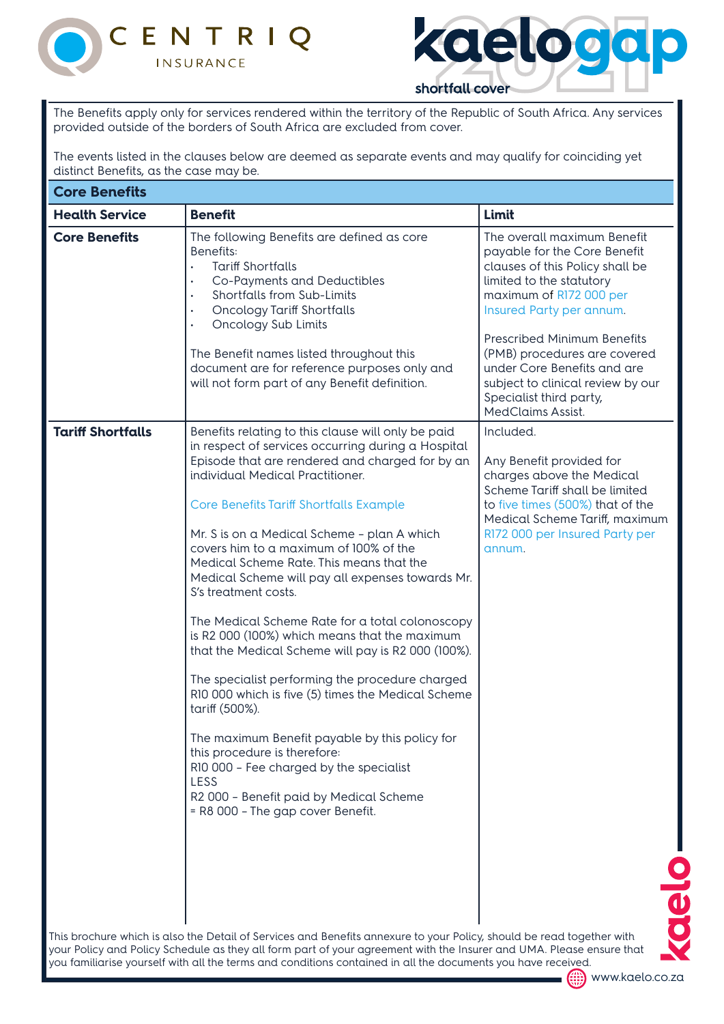



The Benefits apply only for services rendered within the territory of the Republic of South Africa. Any services provided outside of the borders of South Africa are excluded from cover.

The events listed in the clauses below are deemed as separate events and may qualify for coinciding yet distinct Benefits, as the case may be.

| <b>Core Benefits</b>     |                                                                                                                                                                                                                                                                                                                                                                                                                                                                                                                                                                                                                                                                                                                                                                                                                                                                                                                                                                              |                                                                                                                                                                                                                                                                                                                                                                                    |
|--------------------------|------------------------------------------------------------------------------------------------------------------------------------------------------------------------------------------------------------------------------------------------------------------------------------------------------------------------------------------------------------------------------------------------------------------------------------------------------------------------------------------------------------------------------------------------------------------------------------------------------------------------------------------------------------------------------------------------------------------------------------------------------------------------------------------------------------------------------------------------------------------------------------------------------------------------------------------------------------------------------|------------------------------------------------------------------------------------------------------------------------------------------------------------------------------------------------------------------------------------------------------------------------------------------------------------------------------------------------------------------------------------|
| <b>Health Service</b>    | <b>Benefit</b>                                                                                                                                                                                                                                                                                                                                                                                                                                                                                                                                                                                                                                                                                                                                                                                                                                                                                                                                                               | Limit                                                                                                                                                                                                                                                                                                                                                                              |
| <b>Core Benefits</b>     | The following Benefits are defined as core<br>Benefits:<br><b>Tariff Shortfalls</b><br>Co-Payments and Deductibles<br>$\bullet$<br>Shortfalls from Sub-Limits<br>$\bullet$<br><b>Oncology Tariff Shortfalls</b><br>$\bullet$<br>Oncology Sub Limits<br>The Benefit names listed throughout this<br>document are for reference purposes only and<br>will not form part of any Benefit definition.                                                                                                                                                                                                                                                                                                                                                                                                                                                                                                                                                                             | The overall maximum Benefit<br>payable for the Core Benefit<br>clauses of this Policy shall be<br>limited to the statutory<br>maximum of R172 000 per<br>Insured Party per annum.<br><b>Prescribed Minimum Benefits</b><br>(PMB) procedures are covered<br>under Core Benefits and are<br>subject to clinical review by our<br>Specialist third party,<br><b>MedClaims Assist.</b> |
| <b>Tariff Shortfalls</b> | Benefits relating to this clause will only be paid<br>in respect of services occurring during a Hospital<br>Episode that are rendered and charged for by an<br>individual Medical Practitioner.<br><b>Core Benefits Tariff Shortfalls Example</b><br>Mr. S is on a Medical Scheme - plan A which<br>covers him to a maximum of 100% of the<br>Medical Scheme Rate. This means that the<br>Medical Scheme will pay all expenses towards Mr.<br>S's treatment costs.<br>The Medical Scheme Rate for a total colonoscopy<br>is R2 000 (100%) which means that the maximum<br>that the Medical Scheme will pay is R2 000 (100%).<br>The specialist performing the procedure charged<br>R10 000 which is five (5) times the Medical Scheme<br>tariff (500%).<br>The maximum Benefit payable by this policy for<br>this procedure is therefore:<br>R10 000 - Fee charged by the specialist<br>LESS<br>R2 000 - Benefit paid by Medical Scheme<br>= R8 000 - The gap cover Benefit. | Included.<br>Any Benefit provided for<br>charges above the Medical<br>Scheme Tariff shall be limited<br>to five times (500%) that of the<br>Medical Scheme Tariff, maximum<br>R172 000 per Insured Party per<br>annum.<br>J                                                                                                                                                        |
|                          | This brochure which is also the Detail of Services and Benefits annexure to your Policy, should be read together with<br>your Policy and Policy Schedule as they all form part of your agreement with the Insurer and UMA. Please ensure that                                                                                                                                                                                                                                                                                                                                                                                                                                                                                                                                                                                                                                                                                                                                |                                                                                                                                                                                                                                                                                                                                                                                    |

**(....)** www.kaelo.co.za you familiarise yourself with all the terms and conditions contained in all the documents you have received.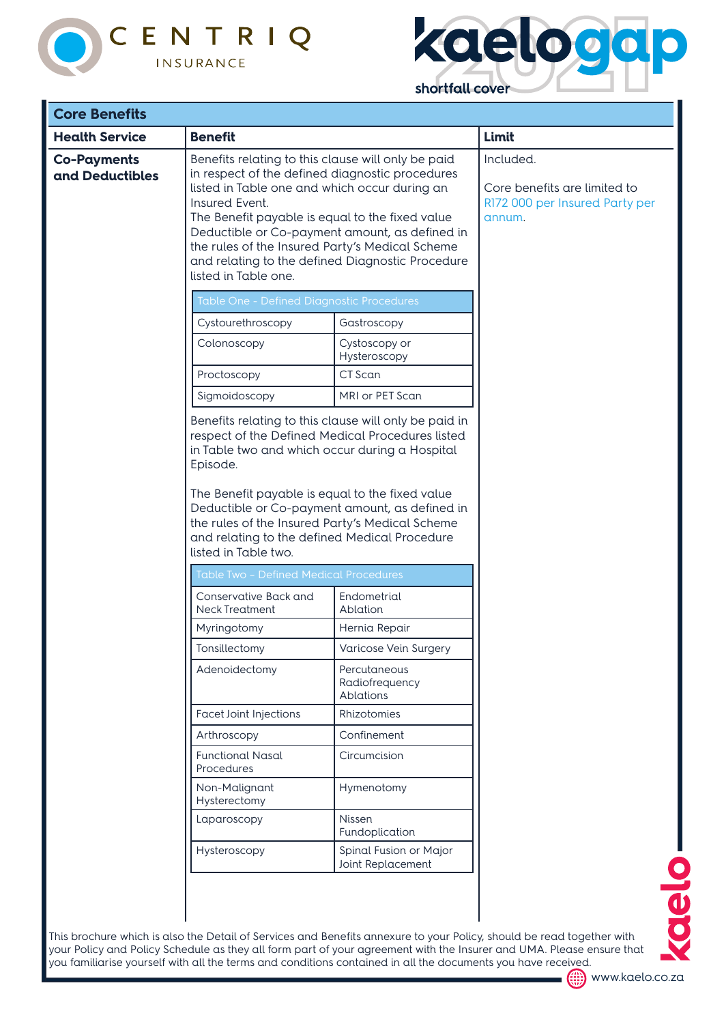



' per

| <b>Core Benefits</b>                  |                                                                                                                                                                                                                                                                                                        |                                                                                                                                                             |                                                                                   |
|---------------------------------------|--------------------------------------------------------------------------------------------------------------------------------------------------------------------------------------------------------------------------------------------------------------------------------------------------------|-------------------------------------------------------------------------------------------------------------------------------------------------------------|-----------------------------------------------------------------------------------|
| <b>Health Service</b>                 | <b>Benefit</b>                                                                                                                                                                                                                                                                                         |                                                                                                                                                             | Limit                                                                             |
| <b>Co-Payments</b><br>and Deductibles | Benefits relating to this clause will only be paid<br>in respect of the defined diagnostic procedures<br>listed in Table one and which occur during an<br>Insured Event.<br>The Benefit payable is equal to the fixed value<br>the rules of the Insured Party's Medical Scheme<br>listed in Table one. | Deductible or Co-payment amount, as defined in<br>and relating to the defined Diagnostic Procedure                                                          | Included.<br>Core benefits are limited to<br>R172 000 per Insured Party<br>annum. |
|                                       | Table One - Defined Diagnostic Procedures                                                                                                                                                                                                                                                              |                                                                                                                                                             |                                                                                   |
|                                       | Cystourethroscopy                                                                                                                                                                                                                                                                                      | Gastroscopy                                                                                                                                                 |                                                                                   |
|                                       | Colonoscopy                                                                                                                                                                                                                                                                                            | Cystoscopy or<br>Hysteroscopy                                                                                                                               |                                                                                   |
|                                       | Proctoscopy                                                                                                                                                                                                                                                                                            | CT Scan                                                                                                                                                     |                                                                                   |
|                                       | Sigmoidoscopy                                                                                                                                                                                                                                                                                          | MRI or PET Scan                                                                                                                                             |                                                                                   |
|                                       | in Table two and which occur during a Hospital<br>Episode.<br>The Benefit payable is equal to the fixed value<br>the rules of the Insured Party's Medical Scheme<br>and relating to the defined Medical Procedure<br>listed in Table two.                                                              | Benefits relating to this clause will only be paid in<br>respect of the Defined Medical Procedures listed<br>Deductible or Co-payment amount, as defined in |                                                                                   |
|                                       | <b>Table Two - Defined Medical Procedures</b>                                                                                                                                                                                                                                                          |                                                                                                                                                             |                                                                                   |
|                                       | Conservative Back and<br><b>Neck Treatment</b>                                                                                                                                                                                                                                                         | Endometrial<br>Ablation                                                                                                                                     |                                                                                   |
|                                       | Myringotomy                                                                                                                                                                                                                                                                                            | Hernia Repair                                                                                                                                               |                                                                                   |
|                                       | Tonsillectomy                                                                                                                                                                                                                                                                                          | Varicose Vein Surgery                                                                                                                                       |                                                                                   |
|                                       | Adenoidectomy                                                                                                                                                                                                                                                                                          | Percutaneous<br>Radiofrequency<br>Ablations                                                                                                                 |                                                                                   |
|                                       | <b>Facet Joint Injections</b>                                                                                                                                                                                                                                                                          | Rhizotomies                                                                                                                                                 |                                                                                   |
|                                       | Arthroscopy                                                                                                                                                                                                                                                                                            | Confinement                                                                                                                                                 |                                                                                   |
|                                       | <b>Functional Nasal</b><br>Procedures                                                                                                                                                                                                                                                                  | Circumcision                                                                                                                                                |                                                                                   |
|                                       | Non-Malignant<br>Hysterectomy                                                                                                                                                                                                                                                                          | Hymenotomy                                                                                                                                                  |                                                                                   |
|                                       | Laparoscopy                                                                                                                                                                                                                                                                                            | Nissen<br>Fundoplication                                                                                                                                    |                                                                                   |
|                                       | Hysteroscopy                                                                                                                                                                                                                                                                                           | Spinal Fusion or Major<br>Joint Replacement                                                                                                                 |                                                                                   |
|                                       |                                                                                                                                                                                                                                                                                                        |                                                                                                                                                             |                                                                                   |

This brochure which is also the Detail of Services and Benefits annexure to your Policy, should be read together with your Policy and Policy Schedule as they all form part of your agreement with the Insurer and UMA. Please ensure that you familiarise yourself with all the terms and conditions contained in all the documents you have received.



Oelo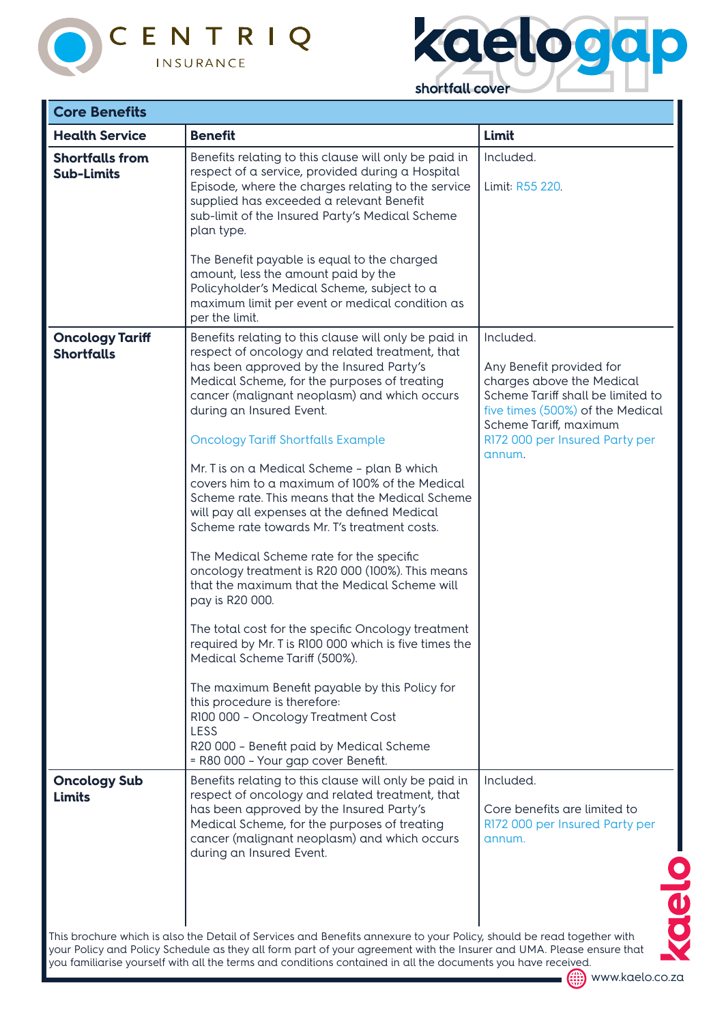



| <b>Core Benefits</b>                        |                                                                                                                                                                                                                                                                                                                                                                                                                                                                                                                                                                                                                                                                                                                                                                                                                                                                                                                                                                                                                                                                                                                          |                                                                                                                                                                                                                   |
|---------------------------------------------|--------------------------------------------------------------------------------------------------------------------------------------------------------------------------------------------------------------------------------------------------------------------------------------------------------------------------------------------------------------------------------------------------------------------------------------------------------------------------------------------------------------------------------------------------------------------------------------------------------------------------------------------------------------------------------------------------------------------------------------------------------------------------------------------------------------------------------------------------------------------------------------------------------------------------------------------------------------------------------------------------------------------------------------------------------------------------------------------------------------------------|-------------------------------------------------------------------------------------------------------------------------------------------------------------------------------------------------------------------|
| <b>Health Service</b>                       | <b>Benefit</b>                                                                                                                                                                                                                                                                                                                                                                                                                                                                                                                                                                                                                                                                                                                                                                                                                                                                                                                                                                                                                                                                                                           | Limit                                                                                                                                                                                                             |
| <b>Shortfalls from</b><br><b>Sub-Limits</b> | Benefits relating to this clause will only be paid in<br>respect of a service, provided during a Hospital<br>Episode, where the charges relating to the service<br>supplied has exceeded a relevant Benefit<br>sub-limit of the Insured Party's Medical Scheme<br>plan type.                                                                                                                                                                                                                                                                                                                                                                                                                                                                                                                                                                                                                                                                                                                                                                                                                                             | Included.<br>Limit: R55 220.                                                                                                                                                                                      |
|                                             | The Benefit payable is equal to the charged<br>amount, less the amount paid by the<br>Policyholder's Medical Scheme, subject to a<br>maximum limit per event or medical condition as<br>per the limit.                                                                                                                                                                                                                                                                                                                                                                                                                                                                                                                                                                                                                                                                                                                                                                                                                                                                                                                   |                                                                                                                                                                                                                   |
| <b>Oncology Tariff</b><br><b>Shortfalls</b> | Benefits relating to this clause will only be paid in<br>respect of oncology and related treatment, that<br>has been approved by the Insured Party's<br>Medical Scheme, for the purposes of treating<br>cancer (malignant neoplasm) and which occurs<br>during an Insured Event.<br><b>Oncology Tariff Shortfalls Example</b><br>Mr. T is on a Medical Scheme - plan B which<br>covers him to a maximum of 100% of the Medical<br>Scheme rate. This means that the Medical Scheme<br>will pay all expenses at the defined Medical<br>Scheme rate towards Mr. T's treatment costs.<br>The Medical Scheme rate for the specific<br>oncology treatment is R20 000 (100%). This means<br>that the maximum that the Medical Scheme will<br>pay is R20 000.<br>The total cost for the specific Oncology treatment<br>required by Mr. T is R100 000 which is five times the<br>Medical Scheme Tariff (500%).<br>The maximum Benefit payable by this Policy for<br>this procedure is therefore:<br>R100 000 - Oncology Treatment Cost<br>LESS<br>R20 000 - Benefit paid by Medical Scheme<br>= R80 000 - Your gap cover Benefit. | Included.<br>Any Benefit provided for<br>charges above the Medical<br>Scheme Tariff shall be limited to<br>five times (500%) of the Medical<br>Scheme Tariff, maximum<br>R172 000 per Insured Party per<br>annum. |
| <b>Oncology Sub</b><br><b>Limits</b>        | Benefits relating to this clause will only be paid in<br>respect of oncology and related treatment, that<br>has been approved by the Insured Party's<br>Medical Scheme, for the purposes of treating<br>cancer (malignant neoplasm) and which occurs<br>during an Insured Event.                                                                                                                                                                                                                                                                                                                                                                                                                                                                                                                                                                                                                                                                                                                                                                                                                                         | Included.<br>Core benefits are limited to<br>R172 000 per Insured Party per<br>annum.                                                                                                                             |
|                                             | This brochure which is also the Detail of Services and Benefits annexure to your Policy, should be read together with<br>your Policy and Policy Schedule as they all form part of your agreement with the Insurer and UMA. Please ensure that                                                                                                                                                                                                                                                                                                                                                                                                                                                                                                                                                                                                                                                                                                                                                                                                                                                                            |                                                                                                                                                                                                                   |

you familiarise yourself with all the terms and conditions contained in all the documents you have received.

(....) www.kaelo.co.za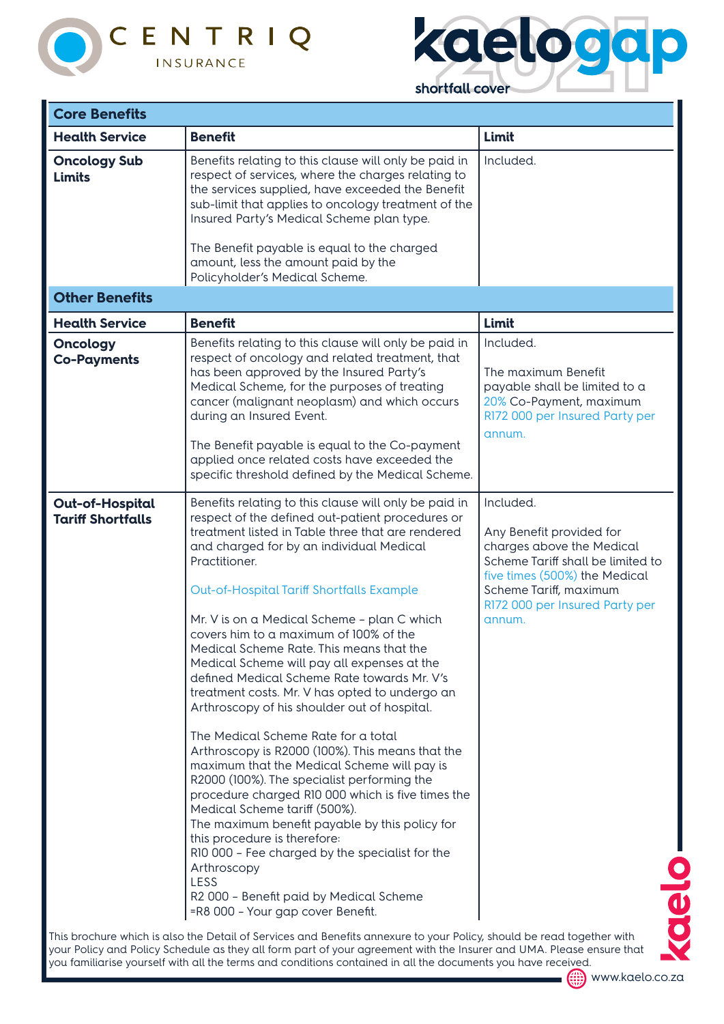



| <b>Core Benefits</b>                               |                                                                                                                                                                                                                                                                                                                                                                                                                                                                                                                                                                                                                                                                                                                                                                                                                                                                                                                                                                                                                                                                                                                                          |                                                                                                                                                                                                                |  |
|----------------------------------------------------|------------------------------------------------------------------------------------------------------------------------------------------------------------------------------------------------------------------------------------------------------------------------------------------------------------------------------------------------------------------------------------------------------------------------------------------------------------------------------------------------------------------------------------------------------------------------------------------------------------------------------------------------------------------------------------------------------------------------------------------------------------------------------------------------------------------------------------------------------------------------------------------------------------------------------------------------------------------------------------------------------------------------------------------------------------------------------------------------------------------------------------------|----------------------------------------------------------------------------------------------------------------------------------------------------------------------------------------------------------------|--|
| <b>Health Service</b>                              | <b>Benefit</b>                                                                                                                                                                                                                                                                                                                                                                                                                                                                                                                                                                                                                                                                                                                                                                                                                                                                                                                                                                                                                                                                                                                           | Limit                                                                                                                                                                                                          |  |
| <b>Oncology Sub</b><br><b>Limits</b>               | Benefits relating to this clause will only be paid in<br>respect of services, where the charges relating to<br>the services supplied, have exceeded the Benefit<br>sub-limit that applies to oncology treatment of the<br>Insured Party's Medical Scheme plan type.<br>The Benefit payable is equal to the charged<br>amount, less the amount paid by the<br>Policyholder's Medical Scheme.                                                                                                                                                                                                                                                                                                                                                                                                                                                                                                                                                                                                                                                                                                                                              | Included.                                                                                                                                                                                                      |  |
| <b>Other Benefits</b>                              |                                                                                                                                                                                                                                                                                                                                                                                                                                                                                                                                                                                                                                                                                                                                                                                                                                                                                                                                                                                                                                                                                                                                          |                                                                                                                                                                                                                |  |
| <b>Health Service</b>                              | <b>Benefit</b>                                                                                                                                                                                                                                                                                                                                                                                                                                                                                                                                                                                                                                                                                                                                                                                                                                                                                                                                                                                                                                                                                                                           | Limit                                                                                                                                                                                                          |  |
| <b>Oncology</b><br><b>Co-Payments</b>              | Benefits relating to this clause will only be paid in<br>respect of oncology and related treatment, that<br>has been approved by the Insured Party's<br>Medical Scheme, for the purposes of treating<br>cancer (malignant neoplasm) and which occurs<br>during an Insured Event.<br>The Benefit payable is equal to the Co-payment<br>applied once related costs have exceeded the<br>specific threshold defined by the Medical Scheme.                                                                                                                                                                                                                                                                                                                                                                                                                                                                                                                                                                                                                                                                                                  | Included.<br>The maximum Benefit<br>payable shall be limited to a<br>20% Co-Payment, maximum<br>R172 000 per Insured Party per<br>annum.                                                                       |  |
| <b>Out-of-Hospital</b><br><b>Tariff Shortfalls</b> | Benefits relating to this clause will only be paid in<br>respect of the defined out-patient procedures or<br>treatment listed in Table three that are rendered<br>and charged for by an individual Medical<br>Practitioner.<br>Out-of-Hospital Tariff Shortfalls Example<br>Mr. V is on a Medical Scheme - plan C which<br>covers him to a maximum of 100% of the<br>Medical Scheme Rate. This means that the<br>Medical Scheme will pay all expenses at the<br>defined Medical Scheme Rate towards Mr. V's<br>treatment costs. Mr. V has opted to undergo an<br>Arthroscopy of his shoulder out of hospital.<br>The Medical Scheme Rate for a total<br>Arthroscopy is R2000 (100%). This means that the<br>maximum that the Medical Scheme will pay is<br>R2000 (100%). The specialist performing the<br>procedure charged R10 000 which is five times the<br>Medical Scheme tariff (500%).<br>The maximum benefit payable by this policy for<br>this procedure is therefore:<br>R10 000 - Fee charged by the specialist for the<br>Arthroscopy<br>LESS<br>R2 000 - Benefit paid by Medical Scheme<br>=R8 000 - Your gap cover Benefit. | Included.<br>Any Benefit provided for<br>charges above the Medical<br>Scheme Tariff shall be limited to<br>five times (500%) the Medical<br>Scheme Tariff, maximum<br>R172 000 per Insured Party per<br>annum. |  |

This brochure which is also the Detail of Services and Benefits annexure to your Policy, should be read together with your Policy and Policy Schedule as they all form part of your agreement with the Insurer and UMA. Please ensure that you familiarise yourself with all the terms and conditions contained in all the documents you have received.



(....) www.kaelo.co.za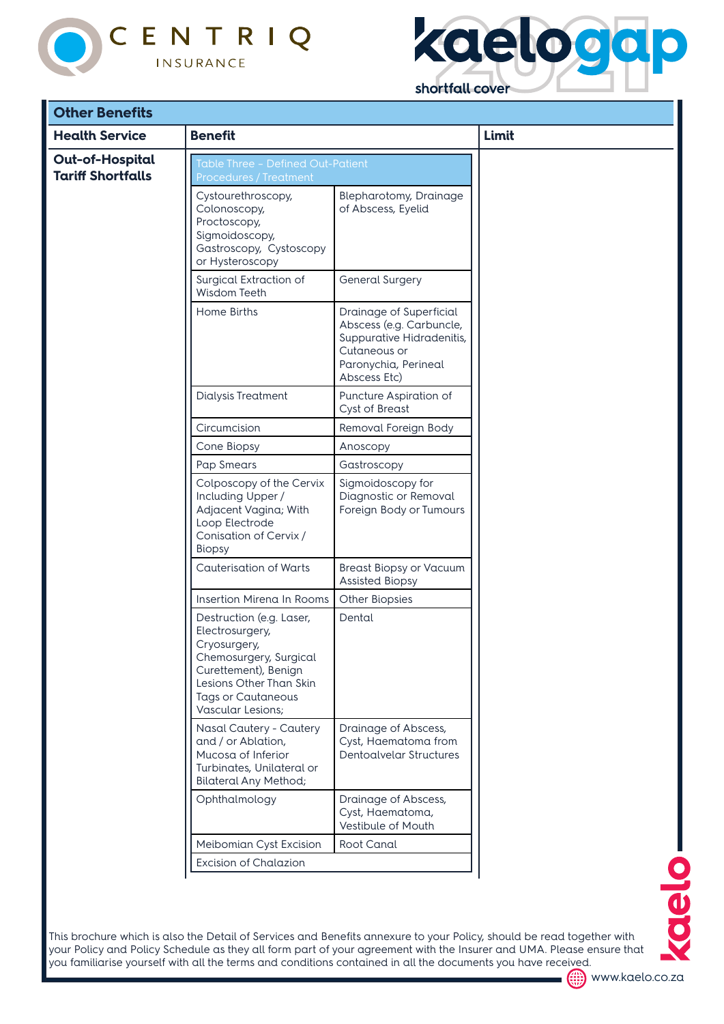



| <b>Health Service</b>                              | <b>Benefit</b>                                                                                                                                                                             |                                                                                                                                          | Limit |
|----------------------------------------------------|--------------------------------------------------------------------------------------------------------------------------------------------------------------------------------------------|------------------------------------------------------------------------------------------------------------------------------------------|-------|
| <b>Out-of-Hospital</b><br><b>Tariff Shortfalls</b> | Table Three - Defined Out-Patient<br><b>Procedures / Treatment</b><br>Cystourethroscopy,<br>Colonoscopy,                                                                                   | <b>Blepharotomy, Drainage</b><br>of Abscess, Eyelid                                                                                      |       |
|                                                    | Proctoscopy,<br>Sigmoidoscopy,<br>Gastroscopy, Cystoscopy<br>or Hysteroscopy                                                                                                               |                                                                                                                                          |       |
|                                                    | Surgical Extraction of<br>Wisdom Teeth                                                                                                                                                     | <b>General Surgery</b>                                                                                                                   |       |
|                                                    | Home Births                                                                                                                                                                                | Drainage of Superficial<br>Abscess (e.g. Carbuncle,<br>Suppurative Hidradenitis,<br>Cutaneous or<br>Paronychia, Perineal<br>Abscess Etc) |       |
|                                                    | <b>Dialysis Treatment</b>                                                                                                                                                                  | Puncture Aspiration of<br><b>Cyst of Breast</b>                                                                                          |       |
|                                                    | Circumcision                                                                                                                                                                               | Removal Foreign Body                                                                                                                     |       |
|                                                    | Cone Biopsy                                                                                                                                                                                | Anoscopy                                                                                                                                 |       |
|                                                    | Pap Smears                                                                                                                                                                                 | Gastroscopy                                                                                                                              |       |
|                                                    | Colposcopy of the Cervix<br>Including Upper /<br>Adjacent Vagina; With<br>Loop Electrode<br>Conisation of Cervix /<br><b>Biopsy</b>                                                        | Sigmoidoscopy for<br>Diagnostic or Removal<br>Foreign Body or Tumours                                                                    |       |
|                                                    | <b>Cauterisation of Warts</b>                                                                                                                                                              | <b>Breast Biopsy or Vacuum</b><br><b>Assisted Biopsy</b>                                                                                 |       |
|                                                    | Insertion Mirena In Rooms                                                                                                                                                                  | <b>Other Biopsies</b>                                                                                                                    |       |
|                                                    | Destruction (e.g. Laser,<br>Electrosurgery,<br>Cryosurgery,<br>Chemosurgery, Surgical<br>Curettement), Benign<br>Lesions Other Than Skin<br><b>Tags or Cautaneous</b><br>Vascular Lesions; | Dental                                                                                                                                   |       |
|                                                    | Nasal Cautery - Cautery<br>and / or Ablation,<br>Mucosa of Inferior<br>Turbinates, Unilateral or<br><b>Bilateral Any Method;</b>                                                           | Drainage of Abscess,<br>Cyst, Haematoma from<br>Dentoalvelar Structures                                                                  |       |
|                                                    | Ophthalmology                                                                                                                                                                              | Drainage of Abscess,<br>Cyst, Haematoma,<br>Vestibule of Mouth                                                                           |       |
|                                                    | Meibomian Cyst Excision                                                                                                                                                                    | Root Canal                                                                                                                               |       |
|                                                    | <b>Excision of Chalazion</b>                                                                                                                                                               |                                                                                                                                          |       |

This brochure which is also the Detail of Services and Benefits annexure to your Policy, should be read together with your Policy and Policy Schedule as they all form part of your agreement with the Insurer and UMA. Please ensure that you familiarise yourself with all the terms and conditions contained in all the documents you have received.



www.kaelo.co.za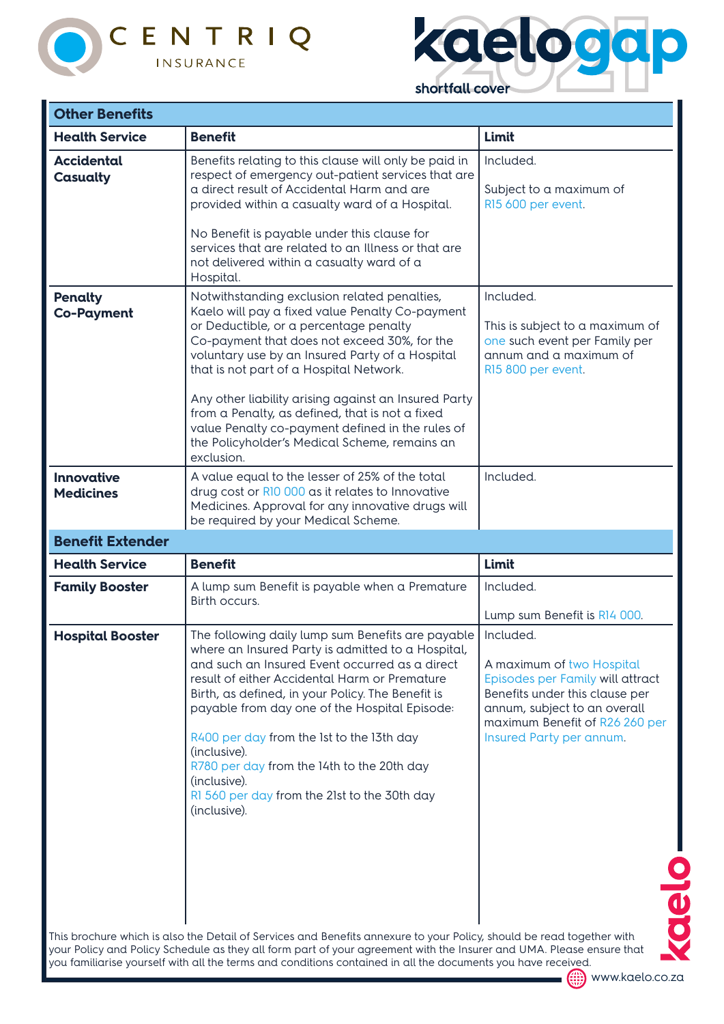



| <b>Other Benefits</b>                 |                                                                                                                                                                                                                                                                                                                                                                                                                                                                                                                       |                                                                                                                                                                                                                  |
|---------------------------------------|-----------------------------------------------------------------------------------------------------------------------------------------------------------------------------------------------------------------------------------------------------------------------------------------------------------------------------------------------------------------------------------------------------------------------------------------------------------------------------------------------------------------------|------------------------------------------------------------------------------------------------------------------------------------------------------------------------------------------------------------------|
| <b>Health Service</b>                 | <b>Benefit</b>                                                                                                                                                                                                                                                                                                                                                                                                                                                                                                        | Limit                                                                                                                                                                                                            |
| <b>Accidental</b><br>Casualty         | Benefits relating to this clause will only be paid in<br>respect of emergency out-patient services that are<br>a direct result of Accidental Harm and are<br>provided within a casualty ward of a Hospital.<br>No Benefit is payable under this clause for<br>services that are related to an Illness or that are<br>not delivered within a casualty ward of a<br>Hospital.                                                                                                                                           | Included.<br>Subject to a maximum of<br>R15 600 per event.                                                                                                                                                       |
| <b>Penalty</b><br><b>Co-Payment</b>   | Notwithstanding exclusion related penalties,<br>Kaelo will pay a fixed value Penalty Co-payment<br>or Deductible, or a percentage penalty<br>Co-payment that does not exceed 30%, for the<br>voluntary use by an Insured Party of a Hospital<br>that is not part of a Hospital Network.<br>Any other liability arising against an Insured Party<br>from a Penalty, as defined, that is not a fixed<br>value Penalty co-payment defined in the rules of<br>the Policyholder's Medical Scheme, remains an<br>exclusion. | Included.<br>This is subject to a maximum of<br>one such event per Family per<br>annum and a maximum of<br>R15 800 per event.                                                                                    |
| <b>Innovative</b><br><b>Medicines</b> | A value equal to the lesser of 25% of the total<br>drug cost or R10 000 as it relates to Innovative<br>Medicines. Approval for any innovative drugs will<br>be required by your Medical Scheme.                                                                                                                                                                                                                                                                                                                       | Included.                                                                                                                                                                                                        |
| <b>Benefit Extender</b>               |                                                                                                                                                                                                                                                                                                                                                                                                                                                                                                                       |                                                                                                                                                                                                                  |
|                                       |                                                                                                                                                                                                                                                                                                                                                                                                                                                                                                                       |                                                                                                                                                                                                                  |
| <b>Health Service</b>                 | <b>Benefit</b>                                                                                                                                                                                                                                                                                                                                                                                                                                                                                                        | Limit                                                                                                                                                                                                            |
| <b>Family Booster</b>                 | A lump sum Benefit is payable when a Premature<br>Birth occurs.                                                                                                                                                                                                                                                                                                                                                                                                                                                       | Included.<br>Lump sum Benefit is R14 000.                                                                                                                                                                        |
| <b>Hospital Booster</b>               | The following daily lump sum Benefits are payable<br>where an Insured Party is admitted to a Hospital,<br>and such an Insured Event occurred as a direct<br>result of either Accidental Harm or Premature<br>Birth, as defined, in your Policy. The Benefit is<br>payable from day one of the Hospital Episode:<br>R400 per day from the 1st to the 13th day<br>(inclusive).<br>R780 per day from the 14th to the 20th day<br>(inclusive).<br>RI 560 per day from the 21st to the 30th day<br>(inclusive).            | Included.<br>A maximum of two Hospital<br>Episodes per Family will attract<br>Benefits under this clause per<br>annum, subject to an overall<br>maximum Benefit of R26 260 per<br>Insured Party per annum.<br>OU |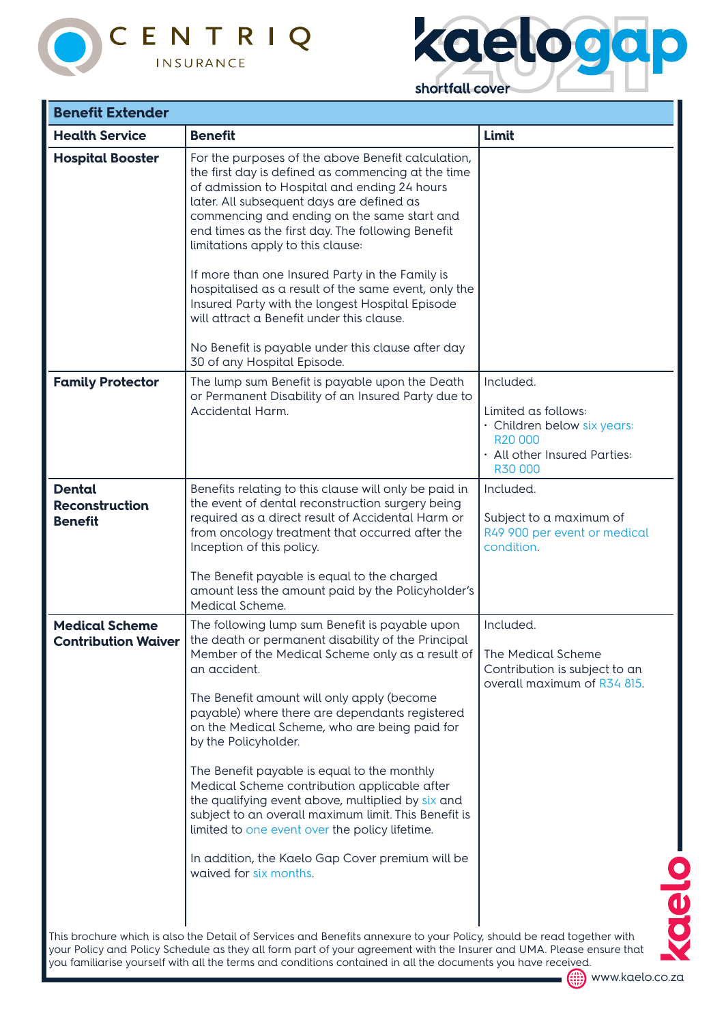



| shortfall cover |  |
|-----------------|--|
|                 |  |

| <b>Benefit Extender</b>                                  |                                                                                                                                                                                                                                                                                                                                                                                                                                                                                                                                                                                                                                                                                                                    |                                                                                                                       |
|----------------------------------------------------------|--------------------------------------------------------------------------------------------------------------------------------------------------------------------------------------------------------------------------------------------------------------------------------------------------------------------------------------------------------------------------------------------------------------------------------------------------------------------------------------------------------------------------------------------------------------------------------------------------------------------------------------------------------------------------------------------------------------------|-----------------------------------------------------------------------------------------------------------------------|
| <b>Health Service</b>                                    | <b>Benefit</b>                                                                                                                                                                                                                                                                                                                                                                                                                                                                                                                                                                                                                                                                                                     | Limit                                                                                                                 |
| <b>Hospital Booster</b>                                  | For the purposes of the above Benefit calculation,<br>the first day is defined as commencing at the time<br>of admission to Hospital and ending 24 hours<br>later. All subsequent days are defined as<br>commencing and ending on the same start and<br>end times as the first day. The following Benefit<br>limitations apply to this clause:<br>If more than one Insured Party in the Family is                                                                                                                                                                                                                                                                                                                  |                                                                                                                       |
|                                                          | hospitalised as a result of the same event, only the<br>Insured Party with the longest Hospital Episode<br>will attract a Benefit under this clause.<br>No Benefit is payable under this clause after day                                                                                                                                                                                                                                                                                                                                                                                                                                                                                                          |                                                                                                                       |
| <b>Family Protector</b>                                  | 30 of any Hospital Episode.<br>The lump sum Benefit is payable upon the Death<br>or Permanent Disability of an Insured Party due to<br>Accidental Harm.                                                                                                                                                                                                                                                                                                                                                                                                                                                                                                                                                            | Included.<br>Limited as follows:<br>· Children below six years:<br>R20 000<br>· All other Insured Parties:<br>R30 000 |
| <b>Dental</b><br><b>Reconstruction</b><br><b>Benefit</b> | Benefits relating to this clause will only be paid in<br>the event of dental reconstruction surgery being<br>required as a direct result of Accidental Harm or<br>from oncology treatment that occurred after the<br>Inception of this policy.<br>The Benefit payable is equal to the charged<br>amount less the amount paid by the Policyholder's<br>Medical Scheme.                                                                                                                                                                                                                                                                                                                                              | Included.<br>Subject to a maximum of<br>R49 900 per event or medical<br>condition.                                    |
| <b>Medical Scheme</b><br><b>Contribution Waiver</b>      | The following lump sum Benefit is payable upon<br>the death or permanent disability of the Principal<br>Member of the Medical Scheme only as a result of   The Medical Scheme<br>an accident.<br>The Benefit amount will only apply (become<br>payable) where there are dependants registered<br>on the Medical Scheme, who are being paid for<br>by the Policyholder.<br>The Benefit payable is equal to the monthly<br>Medical Scheme contribution applicable after<br>the qualifying event above, multiplied by six and<br>subject to an overall maximum limit. This Benefit is<br>limited to one event over the policy lifetime.<br>In addition, the Kaelo Gap Cover premium will be<br>waived for six months. | Included.<br>Contribution is subject to an<br>overall maximum of R34 815.<br>$\overline{\textbf{c}}$                  |
|                                                          | This brochure which is also the Detail of Services and Benefits annexure to your Policy, should be read together with<br>your Policy and Policy Schedule as they all form part of your agreement with the Insurer and UMA. Please ensure that<br>you familiarise yourself with all the terms and conditions contained in all the documents you have received.                                                                                                                                                                                                                                                                                                                                                      |                                                                                                                       |